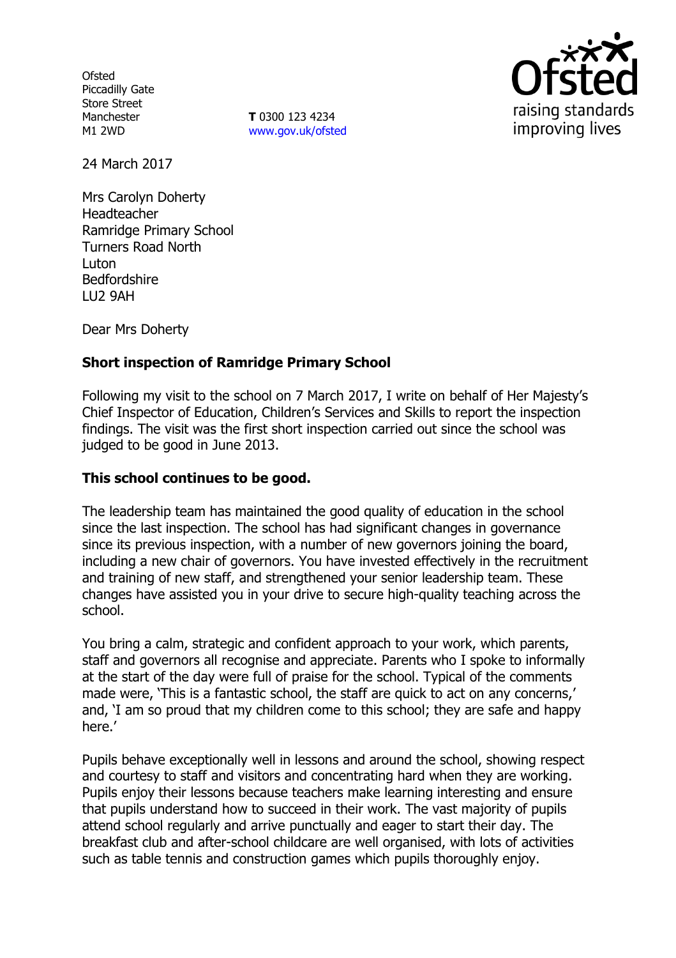**Ofsted** Piccadilly Gate Store Street Manchester M1 2WD

**T** 0300 123 4234 www.gov.uk/ofsted



24 March 2017

Mrs Carolyn Doherty Headteacher Ramridge Primary School Turners Road North Luton Bedfordshire LU2 9AH

Dear Mrs Doherty

## **Short inspection of Ramridge Primary School**

Following my visit to the school on 7 March 2017, I write on behalf of Her Majesty's Chief Inspector of Education, Children's Services and Skills to report the inspection findings. The visit was the first short inspection carried out since the school was judged to be good in June 2013.

### **This school continues to be good.**

The leadership team has maintained the good quality of education in the school since the last inspection. The school has had significant changes in governance since its previous inspection, with a number of new governors joining the board, including a new chair of governors. You have invested effectively in the recruitment and training of new staff, and strengthened your senior leadership team. These changes have assisted you in your drive to secure high-quality teaching across the school.

You bring a calm, strategic and confident approach to your work, which parents, staff and governors all recognise and appreciate. Parents who I spoke to informally at the start of the day were full of praise for the school. Typical of the comments made were, 'This is a fantastic school, the staff are quick to act on any concerns,' and, 'I am so proud that my children come to this school; they are safe and happy here.'

Pupils behave exceptionally well in lessons and around the school, showing respect and courtesy to staff and visitors and concentrating hard when they are working. Pupils enjoy their lessons because teachers make learning interesting and ensure that pupils understand how to succeed in their work. The vast majority of pupils attend school regularly and arrive punctually and eager to start their day. The breakfast club and after-school childcare are well organised, with lots of activities such as table tennis and construction games which pupils thoroughly enjoy.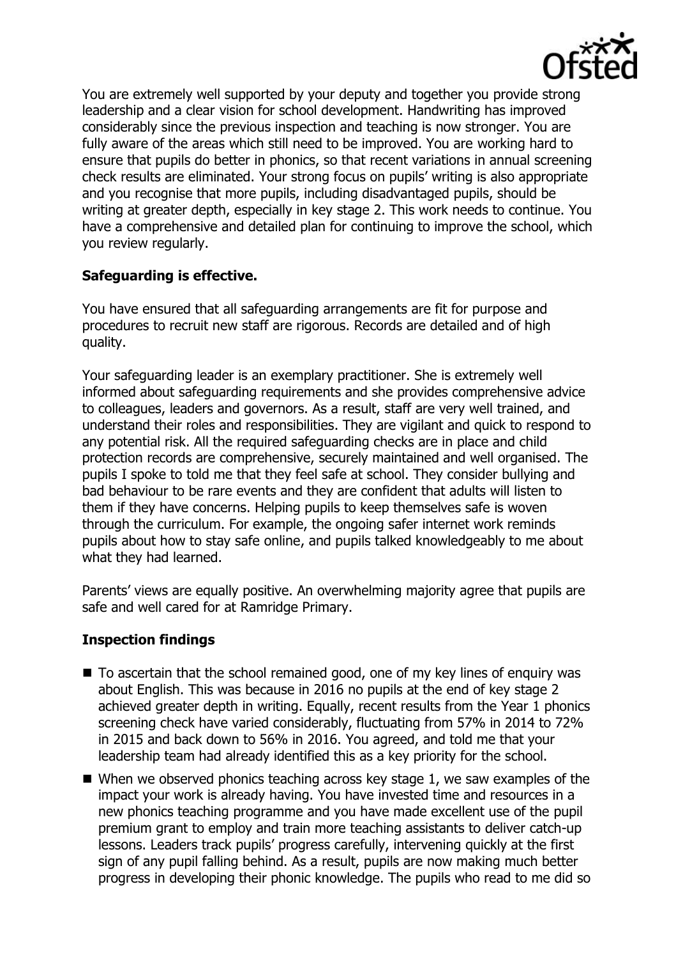

You are extremely well supported by your deputy and together you provide strong leadership and a clear vision for school development. Handwriting has improved considerably since the previous inspection and teaching is now stronger. You are fully aware of the areas which still need to be improved. You are working hard to ensure that pupils do better in phonics, so that recent variations in annual screening check results are eliminated. Your strong focus on pupils' writing is also appropriate and you recognise that more pupils, including disadvantaged pupils, should be writing at greater depth, especially in key stage 2. This work needs to continue. You have a comprehensive and detailed plan for continuing to improve the school, which you review regularly.

## **Safeguarding is effective.**

You have ensured that all safeguarding arrangements are fit for purpose and procedures to recruit new staff are rigorous. Records are detailed and of high quality.

Your safeguarding leader is an exemplary practitioner. She is extremely well informed about safeguarding requirements and she provides comprehensive advice to colleagues, leaders and governors. As a result, staff are very well trained, and understand their roles and responsibilities. They are vigilant and quick to respond to any potential risk. All the required safeguarding checks are in place and child protection records are comprehensive, securely maintained and well organised. The pupils I spoke to told me that they feel safe at school. They consider bullying and bad behaviour to be rare events and they are confident that adults will listen to them if they have concerns. Helping pupils to keep themselves safe is woven through the curriculum. For example, the ongoing safer internet work reminds pupils about how to stay safe online, and pupils talked knowledgeably to me about what they had learned.

Parents' views are equally positive. An overwhelming majority agree that pupils are safe and well cared for at Ramridge Primary.

# **Inspection findings**

- To ascertain that the school remained good, one of my key lines of enquiry was about English. This was because in 2016 no pupils at the end of key stage 2 achieved greater depth in writing. Equally, recent results from the Year 1 phonics screening check have varied considerably, fluctuating from 57% in 2014 to 72% in 2015 and back down to 56% in 2016. You agreed, and told me that your leadership team had already identified this as a key priority for the school.
- $\blacksquare$  When we observed phonics teaching across key stage 1, we saw examples of the impact your work is already having. You have invested time and resources in a new phonics teaching programme and you have made excellent use of the pupil premium grant to employ and train more teaching assistants to deliver catch-up lessons. Leaders track pupils' progress carefully, intervening quickly at the first sign of any pupil falling behind. As a result, pupils are now making much better progress in developing their phonic knowledge. The pupils who read to me did so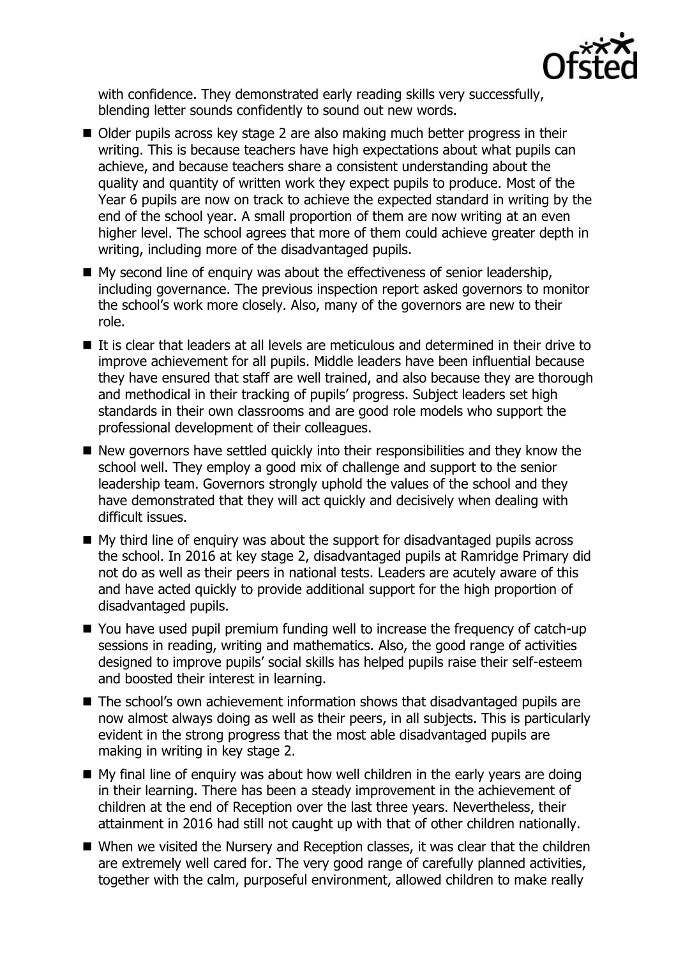

with confidence. They demonstrated early reading skills very successfully, blending letter sounds confidently to sound out new words.

- Older pupils across key stage 2 are also making much better progress in their writing. This is because teachers have high expectations about what pupils can achieve, and because teachers share a consistent understanding about the quality and quantity of written work they expect pupils to produce. Most of the Year 6 pupils are now on track to achieve the expected standard in writing by the end of the school year. A small proportion of them are now writing at an even higher level. The school agrees that more of them could achieve greater depth in writing, including more of the disadvantaged pupils.
- My second line of enquiry was about the effectiveness of senior leadership, including governance. The previous inspection report asked governors to monitor the school's work more closely. Also, many of the governors are new to their role.
- If is clear that leaders at all levels are meticulous and determined in their drive to improve achievement for all pupils. Middle leaders have been influential because they have ensured that staff are well trained, and also because they are thorough and methodical in their tracking of pupils' progress. Subject leaders set high standards in their own classrooms and are good role models who support the professional development of their colleagues.
- $\blacksquare$  New governors have settled quickly into their responsibilities and they know the school well. They employ a good mix of challenge and support to the senior leadership team. Governors strongly uphold the values of the school and they have demonstrated that they will act quickly and decisively when dealing with difficult issues.
- My third line of enquiry was about the support for disadvantaged pupils across the school. In 2016 at key stage 2, disadvantaged pupils at Ramridge Primary did not do as well as their peers in national tests. Leaders are acutely aware of this and have acted quickly to provide additional support for the high proportion of disadvantaged pupils.
- You have used pupil premium funding well to increase the frequency of catch-up sessions in reading, writing and mathematics. Also, the good range of activities designed to improve pupils' social skills has helped pupils raise their self-esteem and boosted their interest in learning.
- The school's own achievement information shows that disadvantaged pupils are now almost always doing as well as their peers, in all subjects. This is particularly evident in the strong progress that the most able disadvantaged pupils are making in writing in key stage 2.
- $\blacksquare$  My final line of enguiry was about how well children in the early years are doing in their learning. There has been a steady improvement in the achievement of children at the end of Reception over the last three years. Nevertheless, their attainment in 2016 had still not caught up with that of other children nationally.
- When we visited the Nursery and Reception classes, it was clear that the children are extremely well cared for. The very good range of carefully planned activities, together with the calm, purposeful environment, allowed children to make really